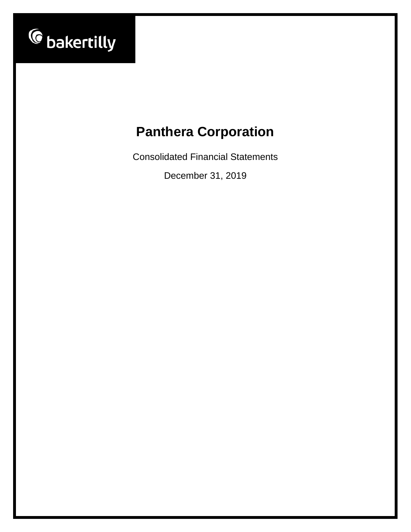

Consolidated Financial Statements

December 31, 2019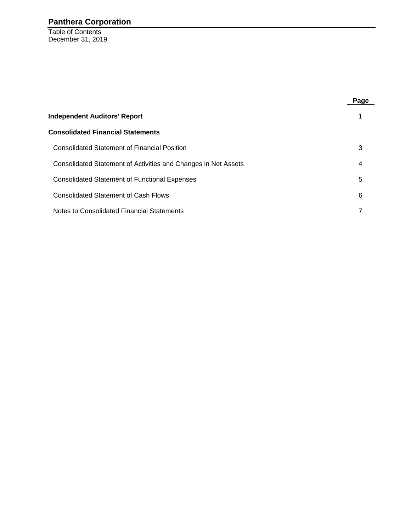Table of Contents December 31, 2019

|                                                                | Page |
|----------------------------------------------------------------|------|
| <b>Independent Auditors' Report</b>                            |      |
| <b>Consolidated Financial Statements</b>                       |      |
| <b>Consolidated Statement of Financial Position</b>            | 3    |
| Consolidated Statement of Activities and Changes in Net Assets | 4    |
| <b>Consolidated Statement of Functional Expenses</b>           | 5    |
| <b>Consolidated Statement of Cash Flows</b>                    | 6    |
| Notes to Consolidated Financial Statements                     |      |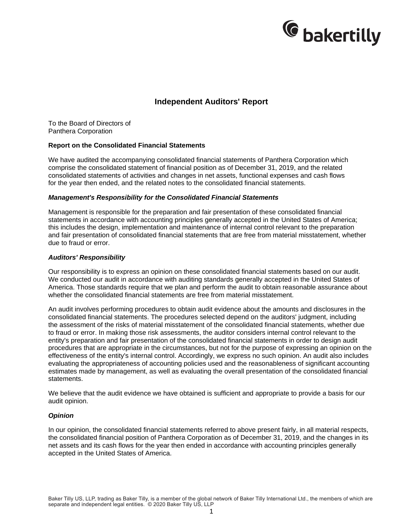

# **Independent Auditors' Report**

To the Board of Directors of Panthera Corporation

#### **Report on the Consolidated Financial Statements**

We have audited the accompanying consolidated financial statements of Panthera Corporation which comprise the consolidated statement of financial position as of December 31, 2019, and the related consolidated statements of activities and changes in net assets, functional expenses and cash flows for the year then ended, and the related notes to the consolidated financial statements.

#### *Management's Responsibility for the Consolidated Financial Statements*

Management is responsible for the preparation and fair presentation of these consolidated financial statements in accordance with accounting principles generally accepted in the United States of America; this includes the design, implementation and maintenance of internal control relevant to the preparation and fair presentation of consolidated financial statements that are free from material misstatement, whether due to fraud or error.

#### *Auditors' Responsibility*

Our responsibility is to express an opinion on these consolidated financial statements based on our audit. We conducted our audit in accordance with auditing standards generally accepted in the United States of America. Those standards require that we plan and perform the audit to obtain reasonable assurance about whether the consolidated financial statements are free from material misstatement.

An audit involves performing procedures to obtain audit evidence about the amounts and disclosures in the consolidated financial statements. The procedures selected depend on the auditors' judgment, including the assessment of the risks of material misstatement of the consolidated financial statements, whether due to fraud or error. In making those risk assessments, the auditor considers internal control relevant to the entity's preparation and fair presentation of the consolidated financial statements in order to design audit procedures that are appropriate in the circumstances, but not for the purpose of expressing an opinion on the effectiveness of the entity's internal control. Accordingly, we express no such opinion. An audit also includes evaluating the appropriateness of accounting policies used and the reasonableness of significant accounting estimates made by management, as well as evaluating the overall presentation of the consolidated financial statements.

We believe that the audit evidence we have obtained is sufficient and appropriate to provide a basis for our audit opinion.

#### *Opinion*

In our opinion, the consolidated financial statements referred to above present fairly, in all material respects, the consolidated financial position of Panthera Corporation as of December 31, 2019, and the changes in its net assets and its cash flows for the year then ended in accordance with accounting principles generally accepted in the United States of America.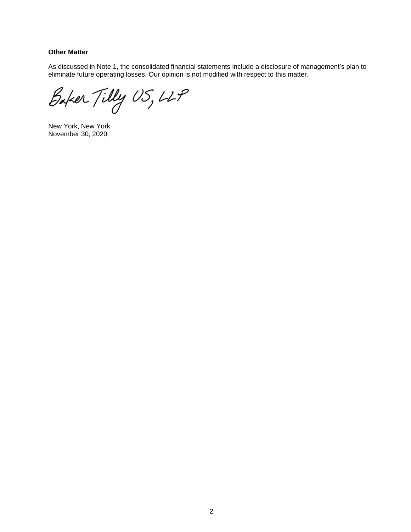### **Other Matter**

As discussed in Note 1, the consolidated financial statements include a disclosure of management's plan to eliminate future operating losses. Our opinion is not modified with respect to this matter.

Baker Tilly US, LLP

New York, New York November 30, 2020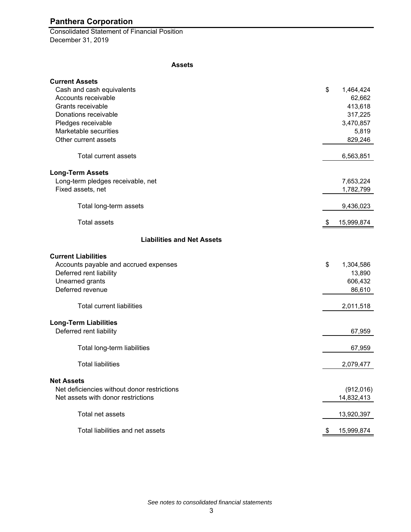Consolidated Statement of Financial Position December 31, 2019

#### **Assets**

| <b>Current Assets</b>                       |                  |
|---------------------------------------------|------------------|
| Cash and cash equivalents                   | \$<br>1,464,424  |
| Accounts receivable                         | 62,662           |
| Grants receivable                           | 413,618          |
| Donations receivable                        | 317,225          |
| Pledges receivable                          | 3,470,857        |
| Marketable securities                       | 5,819            |
| Other current assets                        | 829,246          |
| Total current assets                        | 6,563,851        |
| <b>Long-Term Assets</b>                     |                  |
| Long-term pledges receivable, net           | 7,653,224        |
| Fixed assets, net                           | 1,782,799        |
| Total long-term assets                      | 9,436,023        |
| <b>Total assets</b>                         | 15,999,874<br>S  |
| <b>Liabilities and Net Assets</b>           |                  |
| <b>Current Liabilities</b>                  |                  |
| Accounts payable and accrued expenses       | \$<br>1,304,586  |
| Deferred rent liability                     | 13,890           |
| Unearned grants                             | 606,432          |
| Deferred revenue                            | 86,610           |
| <b>Total current liabilities</b>            | 2,011,518        |
| <b>Long-Term Liabilities</b>                |                  |
| Deferred rent liability                     | 67,959           |
| Total long-term liabilities                 | 67,959           |
| <b>Total liabilities</b>                    | 2,079,477        |
| <b>Net Assets</b>                           |                  |
| Net deficiencies without donor restrictions | (912,016)        |
| Net assets with donor restrictions          | 14,832,413       |
| Total net assets                            | 13,920,397       |
| Total liabilities and net assets            | 15,999,874<br>\$ |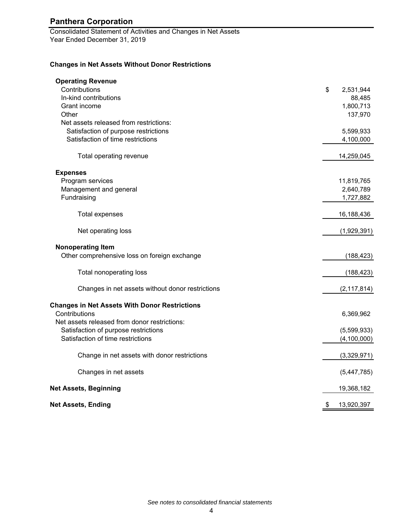Consolidated Statement of Activities and Changes in Net Assets Year Ended December 31, 2019

# **Changes in Net Assets Without Donor Restrictions**

| <b>Operating Revenue</b>                             |                  |
|------------------------------------------------------|------------------|
| Contributions                                        | \$<br>2,531,944  |
| In-kind contributions                                | 88,485           |
| Grant income                                         | 1,800,713        |
| Other                                                | 137,970          |
| Net assets released from restrictions:               |                  |
| Satisfaction of purpose restrictions                 | 5,599,933        |
| Satisfaction of time restrictions                    | 4,100,000        |
| Total operating revenue                              | 14,259,045       |
| <b>Expenses</b>                                      |                  |
| Program services                                     | 11,819,765       |
| Management and general                               | 2,640,789        |
| Fundraising                                          | 1,727,882        |
| Total expenses                                       | 16,188,436       |
| Net operating loss                                   | (1,929,391)      |
| <b>Nonoperating Item</b>                             |                  |
| Other comprehensive loss on foreign exchange         | (188, 423)       |
| Total nonoperating loss                              | (188, 423)       |
| Changes in net assets without donor restrictions     | (2, 117, 814)    |
| <b>Changes in Net Assets With Donor Restrictions</b> |                  |
| Contributions                                        | 6,369,962        |
| Net assets released from donor restrictions:         |                  |
| Satisfaction of purpose restrictions                 | (5,599,933)      |
| Satisfaction of time restrictions                    | (4, 100, 000)    |
| Change in net assets with donor restrictions         | (3,329,971)      |
| Changes in net assets                                | (5,447,785)      |
| <b>Net Assets, Beginning</b>                         | 19,368,182       |
| <b>Net Assets, Ending</b>                            | \$<br>13,920,397 |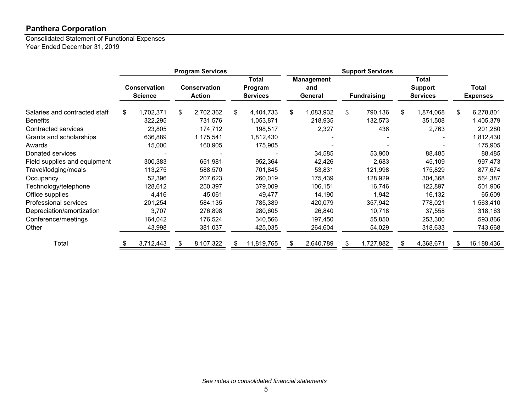Consolidated Statement of Functional Expenses Year Ended December 31, 2019

|                               |                                       | <b>Program Services</b>       |                                     | <b>Support Services</b> |                                     |    |                    |                                            |                          |
|-------------------------------|---------------------------------------|-------------------------------|-------------------------------------|-------------------------|-------------------------------------|----|--------------------|--------------------------------------------|--------------------------|
|                               | <b>Conservation</b><br><b>Science</b> | Conservation<br><b>Action</b> | Total<br>Program<br><b>Services</b> |                         | <b>Management</b><br>and<br>General |    | <b>Fundraising</b> | Total<br><b>Support</b><br><b>Services</b> | Total<br><b>Expenses</b> |
| Salaries and contracted staff | \$<br>1,702,371                       | \$<br>2,702,362               | \$<br>4,404,733                     | \$                      | 1,083,932                           | \$ | 790,136            | \$<br>1,874,068                            | \$<br>6,278,801          |
| <b>Benefits</b>               | 322,295                               | 731,576                       | 1,053,871                           |                         | 218,935                             |    | 132,573            | 351,508                                    | 1,405,379                |
| <b>Contracted services</b>    | 23,805                                | 174,712                       | 198,517                             |                         | 2,327                               |    | 436                | 2,763                                      | 201,280                  |
| Grants and scholarships       | 636,889                               | 1,175,541                     | 1,812,430                           |                         |                                     |    |                    |                                            | 1,812,430                |
| Awards                        | 15,000                                | 160,905                       | 175,905                             |                         |                                     |    |                    |                                            | 175,905                  |
| Donated services              |                                       |                               |                                     |                         | 34,585                              |    | 53,900             | 88,485                                     | 88,485                   |
| Field supplies and equipment  | 300,383                               | 651,981                       | 952,364                             |                         | 42,426                              |    | 2,683              | 45,109                                     | 997,473                  |
| Travel/lodging/meals          | 113,275                               | 588,570                       | 701,845                             |                         | 53,831                              |    | 121,998            | 175,829                                    | 877,674                  |
| Occupancy                     | 52,396                                | 207,623                       | 260,019                             |                         | 175,439                             |    | 128,929            | 304,368                                    | 564,387                  |
| Technology/telephone          | 128,612                               | 250,397                       | 379,009                             |                         | 106,151                             |    | 16,746             | 122,897                                    | 501,906                  |
| Office supplies               | 4,416                                 | 45,061                        | 49,477                              |                         | 14,190                              |    | 1,942              | 16,132                                     | 65,609                   |
| Professional services         | 201,254                               | 584,135                       | 785,389                             |                         | 420,079                             |    | 357,942            | 778,021                                    | 1,563,410                |
| Depreciation/amortization     | 3,707                                 | 276,898                       | 280,605                             |                         | 26,840                              |    | 10,718             | 37,558                                     | 318,163                  |
| Conference/meetings           | 164,042                               | 176,524                       | 340,566                             |                         | 197,450                             |    | 55,850             | 253,300                                    | 593,866                  |
| Other                         | 43,998                                | 381,037                       | 425,035                             |                         | 264,604                             |    | 54,029             | 318,633                                    | 743,668                  |
| Total                         | 3,712,443                             | 8,107,322                     | 11,819,765                          |                         | 2,640,789                           |    | 1,727,882          | 4,368,671                                  | 16,188,436               |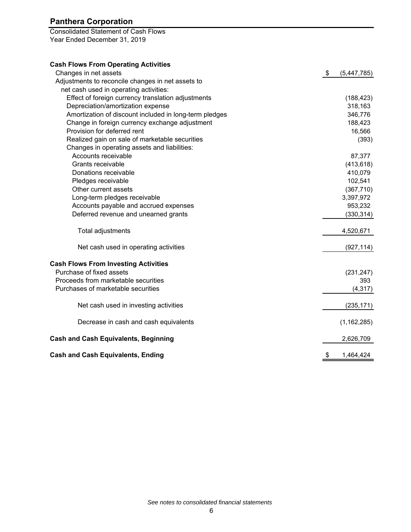| <b>Consolidated Statement of Cash Flows</b><br>Year Ended December 31, 2019   |                       |
|-------------------------------------------------------------------------------|-----------------------|
| <b>Cash Flows From Operating Activities</b>                                   |                       |
| Changes in net assets                                                         | \$<br>(5,447,785)     |
| Adjustments to reconcile changes in net assets to                             |                       |
| net cash used in operating activities:                                        |                       |
| Effect of foreign currency translation adjustments                            | (188, 423)            |
| Depreciation/amortization expense                                             | 318,163               |
| Amortization of discount included in long-term pledges                        | 346,776               |
| Change in foreign currency exchange adjustment                                | 188,423               |
| Provision for deferred rent                                                   | 16,566                |
| Realized gain on sale of marketable securities                                | (393)                 |
| Changes in operating assets and liabilities:                                  |                       |
| Accounts receivable                                                           | 87,377                |
| Grants receivable                                                             | (413, 618)            |
| Donations receivable                                                          | 410,079               |
| Pledges receivable<br>Other current assets                                    | 102,541               |
|                                                                               | (367, 710)            |
| Long-term pledges receivable                                                  | 3,397,972             |
| Accounts payable and accrued expenses<br>Deferred revenue and unearned grants | 953,232<br>(330, 314) |
|                                                                               |                       |
| Total adjustments                                                             | 4,520,671             |
| Net cash used in operating activities                                         | (927, 114)            |
| <b>Cash Flows From Investing Activities</b>                                   |                       |
| Purchase of fixed assets                                                      | (231, 247)            |
| Proceeds from marketable securities                                           | 393                   |
| Purchases of marketable securities                                            | (4, 317)              |
| Net cash used in investing activities                                         | (235, 171)            |
| Decrease in cash and cash equivalents                                         | (1, 162, 285)         |
| <b>Cash and Cash Equivalents, Beginning</b>                                   | 2,626,709             |
| <b>Cash and Cash Equivalents, Ending</b>                                      | \$<br>1,464,424       |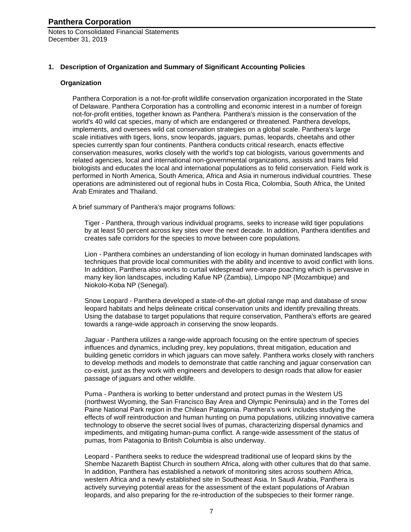Notes to Consolidated Financial Statements December 31, 2019

## **1. Description of Organization and Summary of Significant Accounting Policies**

#### **Organization**

Panthera Corporation is a not-for-profit wildlife conservation organization incorporated in the State of Delaware. Panthera Corporation has a controlling and economic interest in a number of foreign not-for-profit entities, together known as Panthera. Panthera's mission is the conservation of the world's 40 wild cat species, many of which are endangered or threatened. Panthera develops, implements, and oversees wild cat conservation strategies on a global scale. Panthera's large scale initiatives with tigers, lions, snow leopards, jaguars, pumas, leopards, cheetahs and other species currently span four continents. Panthera conducts critical research, enacts effective conservation measures, works closely with the world's top cat biologists, various governments and related agencies, local and international non-governmental organizations, assists and trains felid biologists and educates the local and international populations as to felid conservation. Field work is performed in North America, South America, Africa and Asia in numerous individual countries. These operations are administered out of regional hubs in Costa Rica, Colombia, South Africa, the United Arab Emirates and Thailand.

A brief summary of Panthera's major programs follows:

Tiger - Panthera, through various individual programs, seeks to increase wild tiger populations by at least 50 percent across key sites over the next decade. In addition, Panthera identifies and creates safe corridors for the species to move between core populations.

Lion - Panthera combines an understanding of lion ecology in human dominated landscapes with techniques that provide local communities with the ability and incentive to avoid conflict with lions. In addition, Panthera also works to curtail widespread wire-snare poaching which is pervasive in many key lion landscapes, including Kafue NP (Zambia), Limpopo NP (Mozambique) and Niokolo-Koba NP (Senegal).

Snow Leopard - Panthera developed a state-of-the-art global range map and database of snow leopard habitats and helps delineate critical conservation units and identify prevailing threats. Using the database to target populations that require conservation, Panthera's efforts are geared towards a range-wide approach in conserving the snow leopards.

Jaguar - Panthera utilizes a range-wide approach focusing on the entire spectrum of species influences and dynamics, including prey, key populations, threat mitigation, education and building genetic corridors in which jaguars can move safely. Panthera works closely with ranchers to develop methods and models to demonstrate that cattle ranching and jaguar conservation can co-exist, just as they work with engineers and developers to design roads that allow for easier passage of jaguars and other wildlife.

Puma - Panthera is working to better understand and protect pumas in the Western US (northwest Wyoming, the San Francisco Bay Area and Olympic Peninsula) and in the Torres del Paine National Park region in the Chilean Patagonia. Panthera's work includes studying the effects of wolf reintroduction and human hunting on puma populations, utilizing innovative camera technology to observe the secret social lives of pumas, characterizing dispersal dynamics and impediments, and mitigating human-puma conflict. A range-wide assessment of the status of pumas, from Patagonia to British Columbia is also underway.

Leopard - Panthera seeks to reduce the widespread traditional use of leopard skins by the Shembe Nazareth Baptist Church in southern Africa, along with other cultures that do that same. In addition, Panthera has established a network of monitoring sites across southern Africa, western Africa and a newly established site in Southeast Asia. In Saudi Arabia, Panthera is actively surveying potential areas for the assessment of the extant populations of Arabian leopards, and also preparing for the re-introduction of the subspecies to their former range.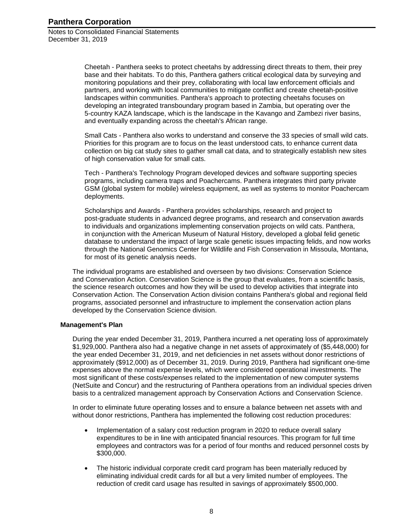> Cheetah - Panthera seeks to protect cheetahs by addressing direct threats to them, their prey base and their habitats. To do this, Panthera gathers critical ecological data by surveying and monitoring populations and their prey, collaborating with local law enforcement officials and partners, and working with local communities to mitigate conflict and create cheetah-positive landscapes within communities. Panthera's approach to protecting cheetahs focuses on developing an integrated transboundary program based in Zambia, but operating over the 5-country KAZA landscape, which is the landscape in the Kavango and Zambezi river basins, and eventually expanding across the cheetah's African range.

Small Cats - Panthera also works to understand and conserve the 33 species of small wild cats. Priorities for this program are to focus on the least understood cats, to enhance current data collection on big cat study sites to gather small cat data, and to strategically establish new sites of high conservation value for small cats.

Tech - Panthera's Technology Program developed devices and software supporting species programs, including camera traps and Poachercams. Panthera integrates third party private GSM (global system for mobile) wireless equipment, as well as systems to monitor Poachercam deployments.

Scholarships and Awards - Panthera provides scholarships, research and project to post-graduate students in advanced degree programs, and research and conservation awards to individuals and organizations implementing conservation projects on wild cats. Panthera, in conjunction with the American Museum of Natural History, developed a global felid genetic database to understand the impact of large scale genetic issues impacting felids, and now works through the National Genomics Center for Wildlife and Fish Conservation in Missoula, Montana, for most of its genetic analysis needs.

The individual programs are established and overseen by two divisions: Conservation Science and Conservation Action. Conservation Science is the group that evaluates, from a scientific basis, the science research outcomes and how they will be used to develop activities that integrate into Conservation Action. The Conservation Action division contains Panthera's global and regional field programs, associated personnel and infrastructure to implement the conservation action plans developed by the Conservation Science division.

#### **Management's Plan**

During the year ended December 31, 2019, Panthera incurred a net operating loss of approximately \$1,929,000. Panthera also had a negative change in net assets of approximately of (\$5,448,000) for the year ended December 31, 2019, and net deficiencies in net assets without donor restrictions of approximately (\$912,000) as of December 31, 2019. During 2019, Panthera had significant one-time expenses above the normal expense levels, which were considered operational investments. The most significant of these costs/expenses related to the implementation of new computer systems (NetSuite and Concur) and the restructuring of Panthera operations from an individual species driven basis to a centralized management approach by Conservation Actions and Conservation Science.

In order to eliminate future operating losses and to ensure a balance between net assets with and without donor restrictions, Panthera has implemented the following cost reduction procedures:

- Implementation of a salary cost reduction program in 2020 to reduce overall salary expenditures to be in line with anticipated financial resources. This program for full time employees and contractors was for a period of four months and reduced personnel costs by \$300,000.
- The historic individual corporate credit card program has been materially reduced by eliminating individual credit cards for all but a very limited number of employees. The reduction of credit card usage has resulted in savings of approximately \$500,000.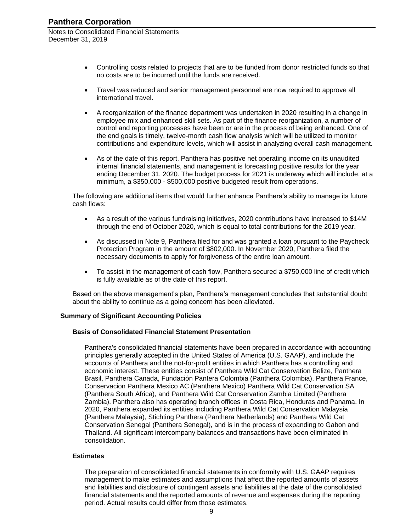- Controlling costs related to projects that are to be funded from donor restricted funds so that no costs are to be incurred until the funds are received.
- Travel was reduced and senior management personnel are now required to approve all international travel.
- A reorganization of the finance department was undertaken in 2020 resulting in a change in employee mix and enhanced skill sets. As part of the finance reorganization, a number of control and reporting processes have been or are in the process of being enhanced. One of the end goals is timely, twelve-month cash flow analysis which will be utilized to monitor contributions and expenditure levels, which will assist in analyzing overall cash management.
- As of the date of this report, Panthera has positive net operating income on its unaudited internal financial statements, and management is forecasting positive results for the year ending December 31, 2020. The budget process for 2021 is underway which will include, at a minimum, a \$350,000 - \$500,000 positive budgeted result from operations.

The following are additional items that would further enhance Panthera's ability to manage its future cash flows:

- As a result of the various fundraising initiatives, 2020 contributions have increased to \$14M through the end of October 2020, which is equal to total contributions for the 2019 year.
- As discussed in Note 9, Panthera filed for and was granted a loan pursuant to the Paycheck Protection Program in the amount of \$802,000. In November 2020, Panthera filed the necessary documents to apply for forgiveness of the entire loan amount.
- To assist in the management of cash flow, Panthera secured a \$750,000 line of credit which is fully available as of the date of this report.

Based on the above management's plan, Panthera's management concludes that substantial doubt about the ability to continue as a going concern has been alleviated.

# **Summary of Significant Accounting Policies**

#### **Basis of Consolidated Financial Statement Presentation**

Panthera's consolidated financial statements have been prepared in accordance with accounting principles generally accepted in the United States of America (U.S. GAAP), and include the accounts of Panthera and the not-for-profit entities in which Panthera has a controlling and economic interest. These entities consist of Panthera Wild Cat Conservation Belize, Panthera Brasil, Panthera Canada, Fundación Pantera Colombia (Panthera Colombia), Panthera France, Conservacion Panthera Mexico AC (Panthera Mexico) Panthera Wild Cat Conservation SA (Panthera South Africa), and Panthera Wild Cat Conservation Zambia Limited (Panthera Zambia). Panthera also has operating branch offices in Costa Rica, Honduras and Panama. In 2020, Panthera expanded its entities including Panthera Wild Cat Conservation Malaysia (Panthera Malaysia), Stichting Panthera (Panthera Netherlands) and Panthera Wild Cat Conservation Senegal (Panthera Senegal), and is in the process of expanding to Gabon and Thailand. All significant intercompany balances and transactions have been eliminated in consolidation.

#### **Estimates**

The preparation of consolidated financial statements in conformity with U.S. GAAP requires management to make estimates and assumptions that affect the reported amounts of assets and liabilities and disclosure of contingent assets and liabilities at the date of the consolidated financial statements and the reported amounts of revenue and expenses during the reporting period. Actual results could differ from those estimates.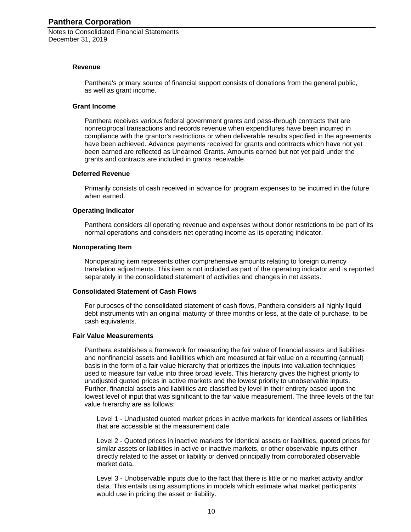#### **Revenue**

Panthera's primary source of financial support consists of donations from the general public, as well as grant income.

#### **Grant Income**

Panthera receives various federal government grants and pass-through contracts that are nonreciprocal transactions and records revenue when expenditures have been incurred in compliance with the grantor's restrictions or when deliverable results specified in the agreements have been achieved. Advance payments received for grants and contracts which have not yet been earned are reflected as Unearned Grants. Amounts earned but not yet paid under the grants and contracts are included in grants receivable.

#### **Deferred Revenue**

Primarily consists of cash received in advance for program expenses to be incurred in the future when earned.

#### **Operating Indicator**

Panthera considers all operating revenue and expenses without donor restrictions to be part of its normal operations and considers net operating income as its operating indicator.

#### **Nonoperating Item**

Nonoperating item represents other comprehensive amounts relating to foreign currency translation adjustments. This item is not included as part of the operating indicator and is reported separately in the consolidated statement of activities and changes in net assets.

#### **Consolidated Statement of Cash Flows**

For purposes of the consolidated statement of cash flows, Panthera considers all highly liquid debt instruments with an original maturity of three months or less, at the date of purchase, to be cash equivalents.

#### **Fair Value Measurements**

Panthera establishes a framework for measuring the fair value of financial assets and liabilities and nonfinancial assets and liabilities which are measured at fair value on a recurring (annual) basis in the form of a fair value hierarchy that prioritizes the inputs into valuation techniques used to measure fair value into three broad levels. This hierarchy gives the highest priority to unadjusted quoted prices in active markets and the lowest priority to unobservable inputs. Further, financial assets and liabilities are classified by level in their entirety based upon the lowest level of input that was significant to the fair value measurement. The three levels of the fair value hierarchy are as follows:

Level 1 - Unadjusted quoted market prices in active markets for identical assets or liabilities that are accessible at the measurement date.

Level 2 - Quoted prices in inactive markets for identical assets or liabilities, quoted prices for similar assets or liabilities in active or inactive markets, or other observable inputs either directly related to the asset or liability or derived principally from corroborated observable market data.

Level 3 - Unobservable inputs due to the fact that there is little or no market activity and/or data. This entails using assumptions in models which estimate what market participants would use in pricing the asset or liability.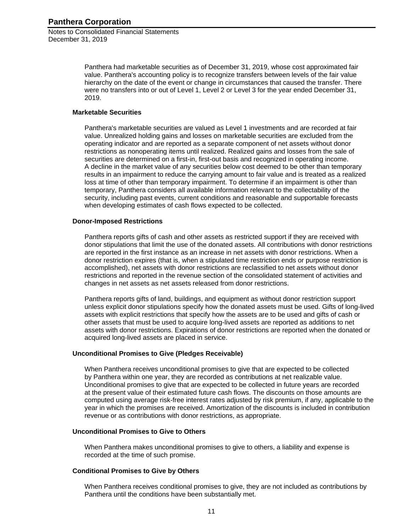> Panthera had marketable securities as of December 31, 2019, whose cost approximated fair value. Panthera's accounting policy is to recognize transfers between levels of the fair value hierarchy on the date of the event or change in circumstances that caused the transfer. There were no transfers into or out of Level 1, Level 2 or Level 3 for the year ended December 31, 2019.

#### **Marketable Securities**

Panthera's marketable securities are valued as Level 1 investments and are recorded at fair value. Unrealized holding gains and losses on marketable securities are excluded from the operating indicator and are reported as a separate component of net assets without donor restrictions as nonoperating items until realized. Realized gains and losses from the sale of securities are determined on a first-in, first-out basis and recognized in operating income. A decline in the market value of any securities below cost deemed to be other than temporary results in an impairment to reduce the carrying amount to fair value and is treated as a realized loss at time of other than temporary impairment. To determine if an impairment is other than temporary, Panthera considers all available information relevant to the collectability of the security, including past events, current conditions and reasonable and supportable forecasts when developing estimates of cash flows expected to be collected.

## **Donor-Imposed Restrictions**

Panthera reports gifts of cash and other assets as restricted support if they are received with donor stipulations that limit the use of the donated assets. All contributions with donor restrictions are reported in the first instance as an increase in net assets with donor restrictions. When a donor restriction expires (that is, when a stipulated time restriction ends or purpose restriction is accomplished), net assets with donor restrictions are reclassified to net assets without donor restrictions and reported in the revenue section of the consolidated statement of activities and changes in net assets as net assets released from donor restrictions.

Panthera reports gifts of land, buildings, and equipment as without donor restriction support unless explicit donor stipulations specify how the donated assets must be used. Gifts of long-lived assets with explicit restrictions that specify how the assets are to be used and gifts of cash or other assets that must be used to acquire long-lived assets are reported as additions to net assets with donor restrictions. Expirations of donor restrictions are reported when the donated or acquired long-lived assets are placed in service.

# **Unconditional Promises to Give (Pledges Receivable)**

When Panthera receives unconditional promises to give that are expected to be collected by Panthera within one year, they are recorded as contributions at net realizable value. Unconditional promises to give that are expected to be collected in future years are recorded at the present value of their estimated future cash flows. The discounts on those amounts are computed using average risk-free interest rates adjusted by risk premium, if any, applicable to the year in which the promises are received. Amortization of the discounts is included in contribution revenue or as contributions with donor restrictions, as appropriate.

#### **Unconditional Promises to Give to Others**

When Panthera makes unconditional promises to give to others, a liability and expense is recorded at the time of such promise.

#### **Conditional Promises to Give by Others**

When Panthera receives conditional promises to give, they are not included as contributions by Panthera until the conditions have been substantially met.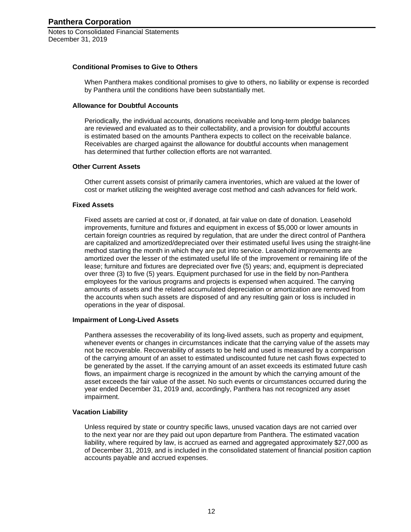Notes to Consolidated Financial Statements December 31, 2019

### **Conditional Promises to Give to Others**

When Panthera makes conditional promises to give to others, no liability or expense is recorded by Panthera until the conditions have been substantially met.

## **Allowance for Doubtful Accounts**

Periodically, the individual accounts, donations receivable and long-term pledge balances are reviewed and evaluated as to their collectability, and a provision for doubtful accounts is estimated based on the amounts Panthera expects to collect on the receivable balance. Receivables are charged against the allowance for doubtful accounts when management has determined that further collection efforts are not warranted.

#### **Other Current Assets**

Other current assets consist of primarily camera inventories, which are valued at the lower of cost or market utilizing the weighted average cost method and cash advances for field work.

# **Fixed Assets**

Fixed assets are carried at cost or, if donated, at fair value on date of donation. Leasehold improvements, furniture and fixtures and equipment in excess of \$5,000 or lower amounts in certain foreign countries as required by regulation, that are under the direct control of Panthera are capitalized and amortized/depreciated over their estimated useful lives using the straight-line method starting the month in which they are put into service. Leasehold improvements are amortized over the lesser of the estimated useful life of the improvement or remaining life of the lease; furniture and fixtures are depreciated over five (5) years; and, equipment is depreciated over three (3) to five (5) years. Equipment purchased for use in the field by non-Panthera employees for the various programs and projects is expensed when acquired. The carrying amounts of assets and the related accumulated depreciation or amortization are removed from the accounts when such assets are disposed of and any resulting gain or loss is included in operations in the year of disposal.

#### **Impairment of Long-Lived Assets**

Panthera assesses the recoverability of its long-lived assets, such as property and equipment, whenever events or changes in circumstances indicate that the carrying value of the assets may not be recoverable. Recoverability of assets to be held and used is measured by a comparison of the carrying amount of an asset to estimated undiscounted future net cash flows expected to be generated by the asset. If the carrying amount of an asset exceeds its estimated future cash flows, an impairment charge is recognized in the amount by which the carrying amount of the asset exceeds the fair value of the asset. No such events or circumstances occurred during the year ended December 31, 2019 and, accordingly, Panthera has not recognized any asset impairment.

#### **Vacation Liability**

Unless required by state or country specific laws, unused vacation days are not carried over to the next year nor are they paid out upon departure from Panthera. The estimated vacation liability, where required by law, is accrued as earned and aggregated approximately \$27,000 as of December 31, 2019, and is included in the consolidated statement of financial position caption accounts payable and accrued expenses.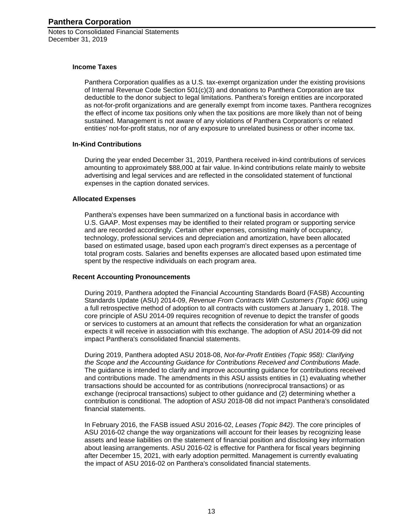Notes to Consolidated Financial Statements December 31, 2019

#### **Income Taxes**

Panthera Corporation qualifies as a U.S. tax-exempt organization under the existing provisions of Internal Revenue Code Section 501(c)(3) and donations to Panthera Corporation are tax deductible to the donor subject to legal limitations. Panthera's foreign entities are incorporated as not-for-profit organizations and are generally exempt from income taxes. Panthera recognizes the effect of income tax positions only when the tax positions are more likely than not of being sustained. Management is not aware of any violations of Panthera Corporation's or related entities' not-for-profit status, nor of any exposure to unrelated business or other income tax.

## **In-Kind Contributions**

During the year ended December 31, 2019, Panthera received in-kind contributions of services amounting to approximately \$88,000 at fair value. In-kind contributions relate mainly to website advertising and legal services and are reflected in the consolidated statement of functional expenses in the caption donated services.

## **Allocated Expenses**

Panthera's expenses have been summarized on a functional basis in accordance with U.S. GAAP. Most expenses may be identified to their related program or supporting service and are recorded accordingly. Certain other expenses, consisting mainly of occupancy, technology, professional services and depreciation and amortization, have been allocated based on estimated usage, based upon each program's direct expenses as a percentage of total program costs. Salaries and benefits expenses are allocated based upon estimated time spent by the respective individuals on each program area.

## **Recent Accounting Pronouncements**

During 2019, Panthera adopted the Financial Accounting Standards Board (FASB) Accounting Standards Update (ASU) 2014-09, *Revenue From Contracts With Customers (Topic 606)* using a full retrospective method of adoption to all contracts with customers at January 1, 2018. The core principle of ASU 2014-09 requires recognition of revenue to depict the transfer of goods or services to customers at an amount that reflects the consideration for what an organization expects it will receive in association with this exchange. The adoption of ASU 2014-09 did not impact Panthera's consolidated financial statements.

During 2019, Panthera adopted ASU 2018-08, *Not-for-Profit Entities (Topic 958): Clarifying the Scope and the Accounting Guidance for Contributions Received and Contributions Made*. The guidance is intended to clarify and improve accounting guidance for contributions received and contributions made. The amendments in this ASU assists entities in (1) evaluating whether transactions should be accounted for as contributions (nonreciprocal transactions) or as exchange (reciprocal transactions) subject to other guidance and (2) determining whether a contribution is conditional. The adoption of ASU 2018-08 did not impact Panthera's consolidated financial statements.

In February 2016, the FASB issued ASU 2016-02, *Leases (Topic 842)*. The core principles of ASU 2016-02 change the way organizations will account for their leases by recognizing lease assets and lease liabilities on the statement of financial position and disclosing key information about leasing arrangements. ASU 2016-02 is effective for Panthera for fiscal years beginning after December 15, 2021, with early adoption permitted. Management is currently evaluating the impact of ASU 2016-02 on Panthera's consolidated financial statements.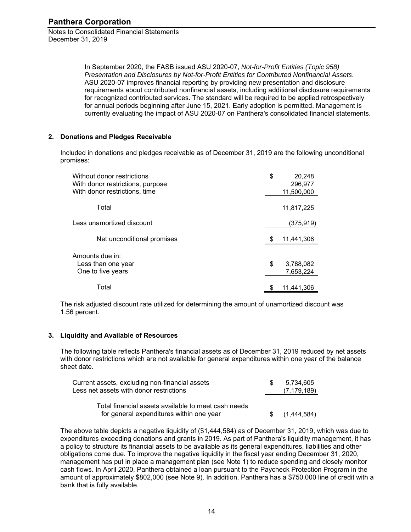> In September 2020, the FASB issued ASU 2020-07, *Not-for-Profit Entities (Topic 958) Presentation and Disclosures by Not-for-Profit Entities for Contributed Nonfinancial Assets*. ASU 2020-07 improves financial reporting by providing new presentation and disclosure requirements about contributed nonfinancial assets, including additional disclosure requirements for recognized contributed services. The standard will be required to be applied retrospectively for annual periods beginning after June 15, 2021. Early adoption is permitted. Management is currently evaluating the impact of ASU 2020-07 on Panthera's consolidated financial statements.

# **2. Donations and Pledges Receivable**

Included in donations and pledges receivable as of December 31, 2019 are the following unconditional promises:

| Without donor restrictions<br>With donor restrictions, purpose<br>With donor restrictions, time | \$<br>20,248<br>296,977<br>11,500,000 |
|-------------------------------------------------------------------------------------------------|---------------------------------------|
| Total                                                                                           | 11,817,225                            |
| Less unamortized discount                                                                       | (375, 919)                            |
| Net unconditional promises                                                                      | 11,441,306                            |
| Amounts due in:<br>Less than one year<br>One to five years                                      | \$<br>3,788,082<br>7,653,224          |
| Total                                                                                           | \$<br>11,441,306                      |

The risk adjusted discount rate utilized for determining the amount of unamortized discount was 1.56 percent.

#### **3. Liquidity and Available of Resources**

The following table reflects Panthera's financial assets as of December 31, 2019 reduced by net assets with donor restrictions which are not available for general expenditures within one year of the balance sheet date.

| Current assets, excluding non-financial assets      | 5.734.605     |
|-----------------------------------------------------|---------------|
| Less net assets with donor restrictions             | (7, 179, 189) |
| Total financial assets available to meet cash needs |               |
| for general expenditures within one year            | (1,444,584)   |

The above table depicts a negative liquidity of (\$1,444,584) as of December 31, 2019, which was due to expenditures exceeding donations and grants in 2019. As part of Panthera's liquidity management, it has a policy to structure its financial assets to be available as its general expenditures, liabilities and other obligations come due. To improve the negative liquidity in the fiscal year ending December 31, 2020, management has put in place a management plan (see Note 1) to reduce spending and closely monitor cash flows. In April 2020, Panthera obtained a loan pursuant to the Paycheck Protection Program in the amount of approximately \$802,000 (see Note 9). In addition, Panthera has a \$750,000 line of credit with a bank that is fully available.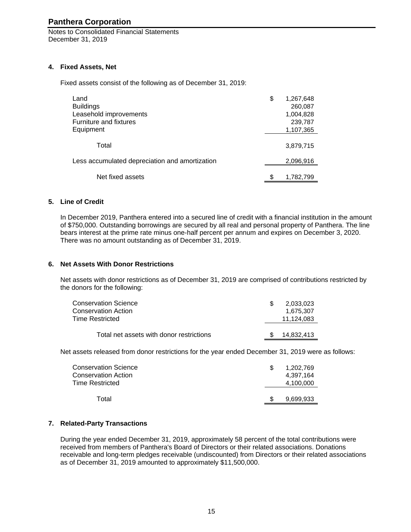Notes to Consolidated Financial Statements December 31, 2019

# **4. Fixed Assets, Net**

Fixed assets consist of the following as of December 31, 2019:

| Land<br><b>Buildings</b><br>Leasehold improvements<br><b>Furniture and fixtures</b><br>Equipment | \$<br>1,267,648<br>260,087<br>1,004,828<br>239,787<br>1,107,365 |
|--------------------------------------------------------------------------------------------------|-----------------------------------------------------------------|
| Total                                                                                            | 3,879,715                                                       |
| Less accumulated depreciation and amortization                                                   | 2,096,916                                                       |
| Net fixed assets                                                                                 | \$<br>1,782,799                                                 |

#### **5. Line of Credit**

In December 2019, Panthera entered into a secured line of credit with a financial institution in the amount of \$750,000. Outstanding borrowings are secured by all real and personal property of Panthera. The line bears interest at the prime rate minus one-half percent per annum and expires on December 3, 2020. There was no amount outstanding as of December 31, 2019.

#### **6. Net Assets With Donor Restrictions**

Net assets with donor restrictions as of December 31, 2019 are comprised of contributions restricted by the donors for the following:

| Conservation Science                     | 2.033.023  |
|------------------------------------------|------------|
| Conservation Action                      | 1.675.307  |
| Time Restricted                          | 11,124,083 |
|                                          |            |
| Total net assets with donor restrictions | 14,832,413 |

Net assets released from donor restrictions for the year ended December 31, 2019 were as follows:

| Conservation Science<br>Conservation Action<br>Time Restricted | \$. | 1.202.769<br>4.397.164<br>4,100,000 |
|----------------------------------------------------------------|-----|-------------------------------------|
| Total                                                          | \$. | 9,699,933                           |

#### **7. Related-Party Transactions**

During the year ended December 31, 2019, approximately 58 percent of the total contributions were received from members of Panthera's Board of Directors or their related associations. Donations receivable and long-term pledges receivable (undiscounted) from Directors or their related associations as of December 31, 2019 amounted to approximately \$11,500,000.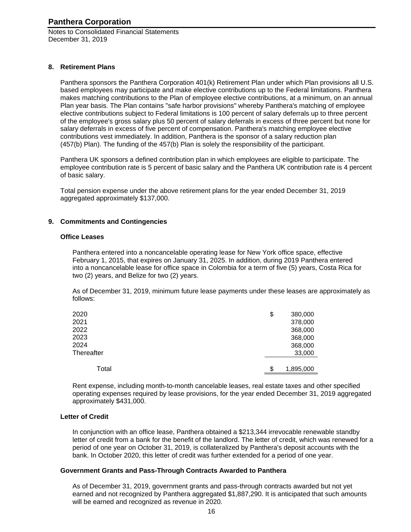# **8. Retirement Plans**

Panthera sponsors the Panthera Corporation 401(k) Retirement Plan under which Plan provisions all U.S. based employees may participate and make elective contributions up to the Federal limitations. Panthera makes matching contributions to the Plan of employee elective contributions, at a minimum, on an annual Plan year basis. The Plan contains "safe harbor provisions" whereby Panthera's matching of employee elective contributions subject to Federal limitations is 100 percent of salary deferrals up to three percent of the employee's gross salary plus 50 percent of salary deferrals in excess of three percent but none for salary deferrals in excess of five percent of compensation. Panthera's matching employee elective contributions vest immediately. In addition, Panthera is the sponsor of a salary reduction plan (457(b) Plan). The funding of the 457(b) Plan is solely the responsibility of the participant.

Panthera UK sponsors a defined contribution plan in which employees are eligible to participate. The employee contribution rate is 5 percent of basic salary and the Panthera UK contribution rate is 4 percent of basic salary.

Total pension expense under the above retirement plans for the year ended December 31, 2019 aggregated approximately \$137,000.

## **9. Commitments and Contingencies**

### **Office Leases**

Panthera entered into a noncancelable operating lease for New York office space, effective February 1, 2015, that expires on January 31, 2025. In addition, during 2019 Panthera entered into a noncancelable lease for office space in Colombia for a term of five (5) years, Costa Rica for two (2) years, and Belize for two (2) years.

As of December 31, 2019, minimum future lease payments under these leases are approximately as follows:

| 2020       | \$<br>380,000   |
|------------|-----------------|
| 2021       | 378,000         |
| 2022       | 368,000         |
| 2023       | 368,000         |
| 2024       | 368,000         |
| Thereafter | 33,000          |
|            |                 |
| Total      | \$<br>1,895,000 |

Rent expense, including month-to-month cancelable leases, real estate taxes and other specified operating expenses required by lease provisions, for the year ended December 31, 2019 aggregated approximately \$431,000.

#### **Letter of Credit**

In conjunction with an office lease, Panthera obtained a \$213,344 irrevocable renewable standby letter of credit from a bank for the benefit of the landlord. The letter of credit, which was renewed for a period of one year on October 31, 2019, is collateralized by Panthera's deposit accounts with the bank. In October 2020, this letter of credit was further extended for a period of one year.

#### **Government Grants and Pass-Through Contracts Awarded to Panthera**

As of December 31, 2019, government grants and pass-through contracts awarded but not yet earned and not recognized by Panthera aggregated \$1,887,290. It is anticipated that such amounts will be earned and recognized as revenue in 2020.